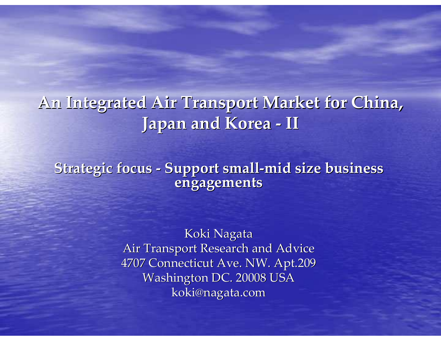#### An Integrated Air Transport Market for China, Japan and Korea- $-1$

Strategic focus - Support small-mid size business engagements

> Koki Nagata Air Transport Research and Advice 4707 Connecticut Ave. NW. Apt.209Washington DC. 20008 USAkoki@nagata.com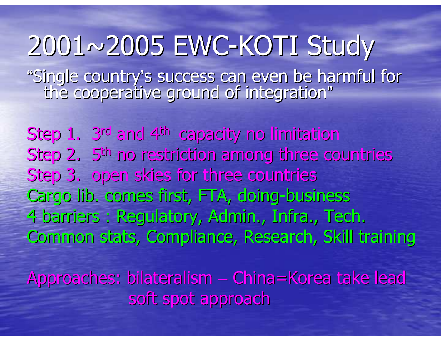2001~2005 EWC-KOTI Study "Single country's success can even be harmful for<br>the cooperative ground of integration" "

Step 1. 3rd and 4th capacity no limitation Step 2. 5th no restriction among three countriesStep 3. open skies for three countries Cargo lib. comes first, FTA, doing-business 4 barriers : Regulatory, Admin., Infra., Tech. Common stats, Compliance, Research, Skill trainingApproaches: bilateralism China=Korea take lead

soft spot approach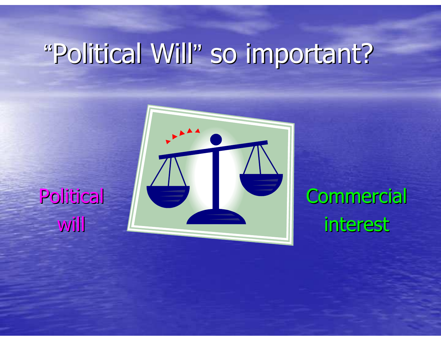# "Political Will" so important?



#### **Political** will

**Commercial** interest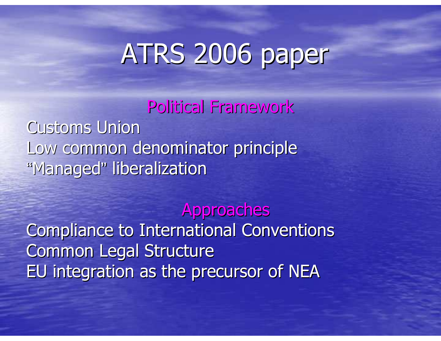# ATRS 2006 paper

Political FrameworkCustoms Union Low common denominator principle"Managed" liberalization

#### Approaches

 Compliance to International ConventionsCommon Legal StructureEU integration as the precursor of NEA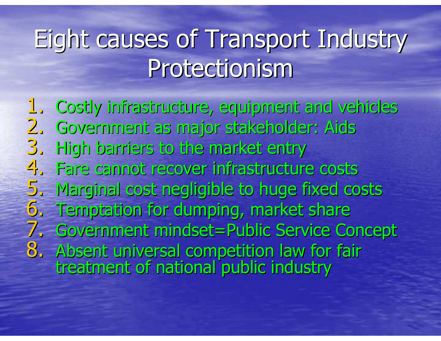### Eight causes of Transport Industry Protectionism

1. Costly infrastructure, equipment and vehicles2. Government as major stakeholder: Aids3. High barriers to the market entry 4. Fare cannot recover infrastructure costs 5. Marginal cost negligible to huge fixed costs6. Temptation for dumping, market share 7. Government mindset=Public Service Concept 8. Absent universal competition law for fair<br>treatment of national public industry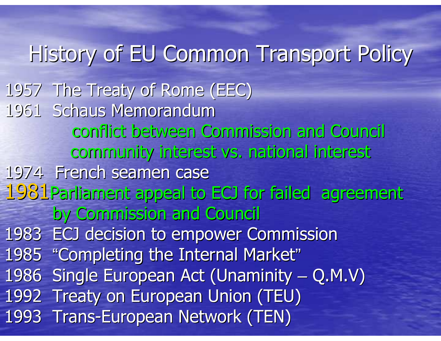History of EU Common Transport Policy1957 The Treaty of Rome (EEC)1961 Schaus Memorandumconflict between Commission and Council community interest vs. national interest1974 French seamen case 1981 Parliament appeal to ECJ for failed agreement by Commission and Council1983 ECJ decision to empower Commission1985 "Completing the Internal Market" 1986 Single European Act (Unaminity 1992 Treaty on European Union (TEU)– $-$  Q.M.V) 1993 Trans-European Network (TEN)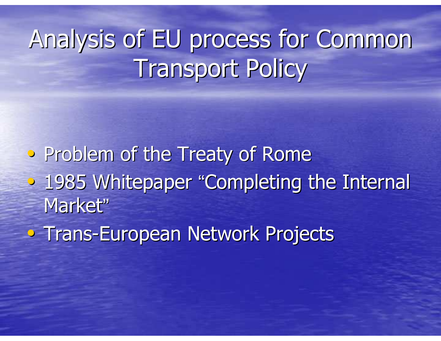## Analysis of EU process for Common Transport Policy

• Problem of the Treaty of Rome• 1985 Whitepaper "Completing the Internal Market"

• Trans-European Network Projects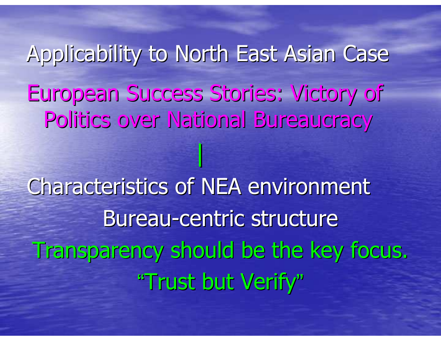Applicability to North East Asian CaseEuropean Success Stories: Victory of Politics over National Bureaucracy

|

Characteristics of NEA environmentBureau-centric structure Transparency should be the key focus."Trust but Verify"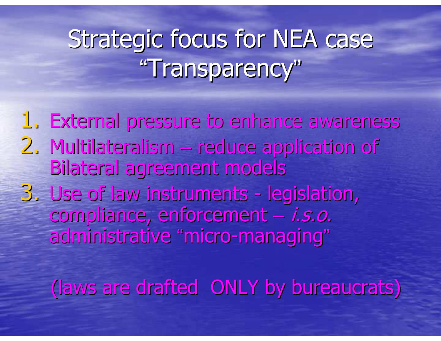## Strategic focus for NEA case "Transparency"

1. External pressure to enhance awareness 2. Multilateralism reduce application of Bilateral agreement models3. Use of law instruments - le legislation, compliance, enforcement administrative "micro-managing"i.s.o.

(laws are drafted ONLY by bureaucrats)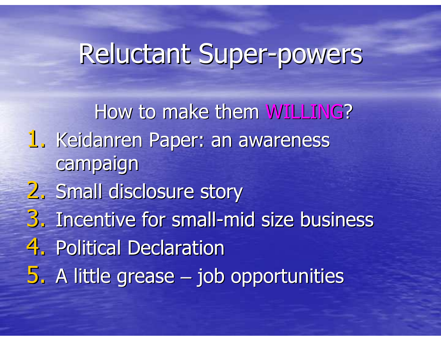#### Reluctant Super-powers

How to make them WILLING? 1. Keidanren Paper: an awareness campaign2. Small disclosure story 3. Incentive for small -mid size business4. Political Declaration <mark>5. A little grease – jo</mark> **However the Common**  $-$  job opportunities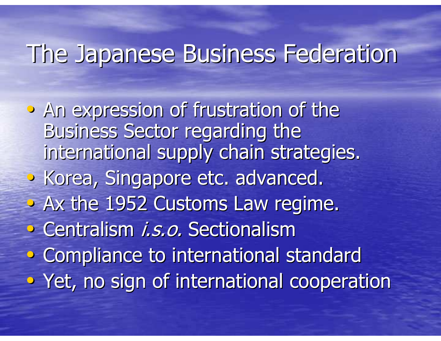#### The Japanese Business Federation

• An expression of frustration of the Business Sector regarding the international supply chain strategies.• Korea, Singapore etc. advanced.  $\triangleright$  Ax the 1952 Customs Law regime. • Centralism *i.s.o.* Sectionalism • Compliance to international standard• Yet, no sign of international cooperation